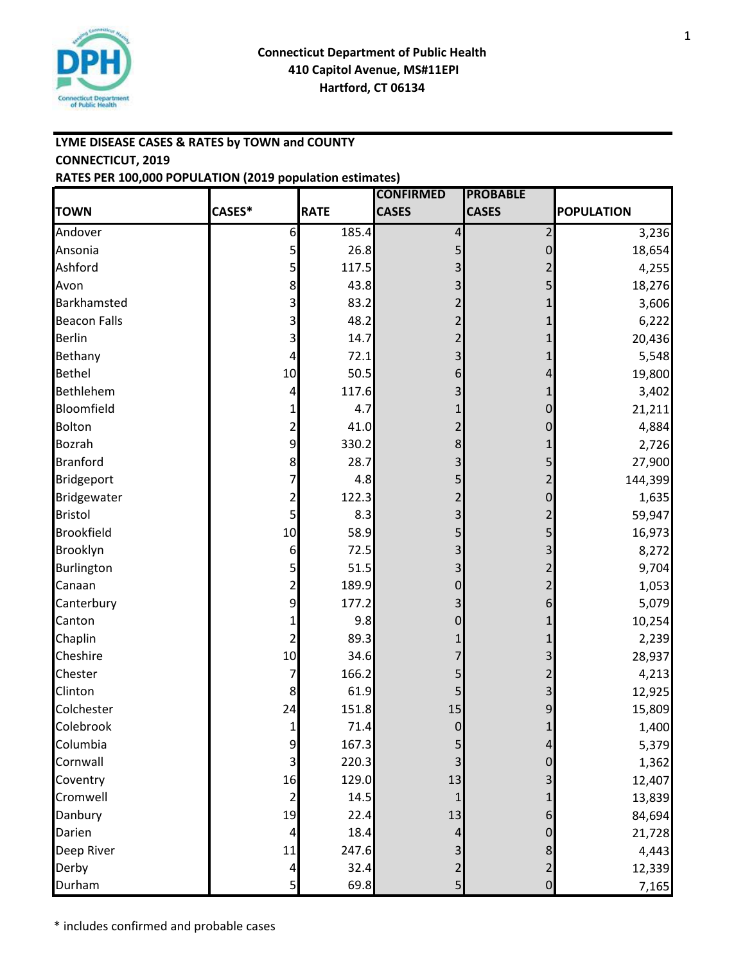

# **LYME DISEASE CASES & RATES by TOWN and COUNTY CONNECTICUT, 2019 RATES PER 100,000 POPULATION (2019 population estimates)**

|                     |                         |             | <b>CONFIRMED</b> | <b>PROBABLE</b>     |                   |
|---------------------|-------------------------|-------------|------------------|---------------------|-------------------|
| <b>TOWN</b>         | CASES*                  | <b>RATE</b> | <b>CASES</b>     | <b>CASES</b>        | <b>POPULATION</b> |
| Andover             | 6                       | 185.4       | 4                | 2                   | 3,236             |
| Ansonia             | 5                       | 26.8        | 5                | 0                   | 18,654            |
| Ashford             | 5                       | 117.5       |                  |                     | 4,255             |
| Avon                | 8                       | 43.8        | 3                |                     | 18,276            |
| Barkhamsted         | 3                       | 83.2        |                  |                     | 3,606             |
| <b>Beacon Falls</b> | 3                       | 48.2        |                  |                     | 6,222             |
| <b>Berlin</b>       |                         | 14.7        |                  |                     | 20,436            |
| Bethany             | 4                       | 72.1        | 3                |                     | 5,548             |
| <b>Bethel</b>       | 10                      | 50.5        | 6                |                     | 19,800            |
| Bethlehem           | 4                       | 117.6       |                  |                     | 3,402             |
| Bloomfield          |                         | 4.7         |                  | 0                   | 21,211            |
| <b>Bolton</b>       | 2                       | 41.0        |                  | 0                   | 4,884             |
| <b>Bozrah</b>       | 9                       | 330.2       | 8                |                     | 2,726             |
| <b>Branford</b>     | 8                       | 28.7        | 3                |                     | 27,900            |
| <b>Bridgeport</b>   | 7                       | 4.8         | 5                |                     | 144,399           |
| <b>Bridgewater</b>  | 2                       | 122.3       |                  | 0                   | 1,635             |
| <b>Bristol</b>      |                         | 8.3         | 3                |                     | 59,947            |
| <b>Brookfield</b>   | 10                      | 58.9        | 5                | 5                   | 16,973            |
| Brooklyn            | 6                       | 72.5        | 3                |                     | 8,272             |
| Burlington          | 5                       | 51.5        | 3                |                     | 9,704             |
| Canaan              | 2                       | 189.9       | 0                |                     | 1,053             |
| Canterbury          | 9                       | 177.2       |                  | 6                   | 5,079             |
| Canton              |                         | 9.8         | 0                |                     | 10,254            |
| Chaplin             | 2                       | 89.3        |                  |                     | 2,239             |
| Cheshire            | 10                      | 34.6        |                  |                     | 28,937            |
| Chester             | 7                       | 166.2       | 5                |                     | 4,213             |
| Clinton             | 8                       | 61.9        |                  |                     | 12,925            |
| Colchester          | 24                      | 151.8       | 15               | 9                   | 15,809            |
| Colebrook           | 1                       | 71.4        | $\overline{0}$   | $\mathbf{1}$        | 1,400             |
| Columbia            | 9                       | 167.3       | 5                | 4                   | 5,379             |
| Cornwall            | 3                       | 220.3       | 3                | 0                   | 1,362             |
| Coventry            | 16                      | 129.0       | 13               | 3                   | 12,407            |
| Cromwell            | 2                       | 14.5        |                  |                     | 13,839            |
| Danbury             | 19                      | 22.4        | 13               | 6                   | 84,694            |
| Darien              | 4                       | 18.4        | 4                | 0                   | 21,728            |
| Deep River          | 11                      | 247.6       | 3                | 8                   | 4,443             |
| Derby               | 4                       | 32.4        | $\overline{2}$   | 2                   | 12,339            |
| Durham              | $\overline{\mathbf{5}}$ | 69.8        | 5 <sub>l</sub>   | $\mathsf{O}\xspace$ | 7,165             |

1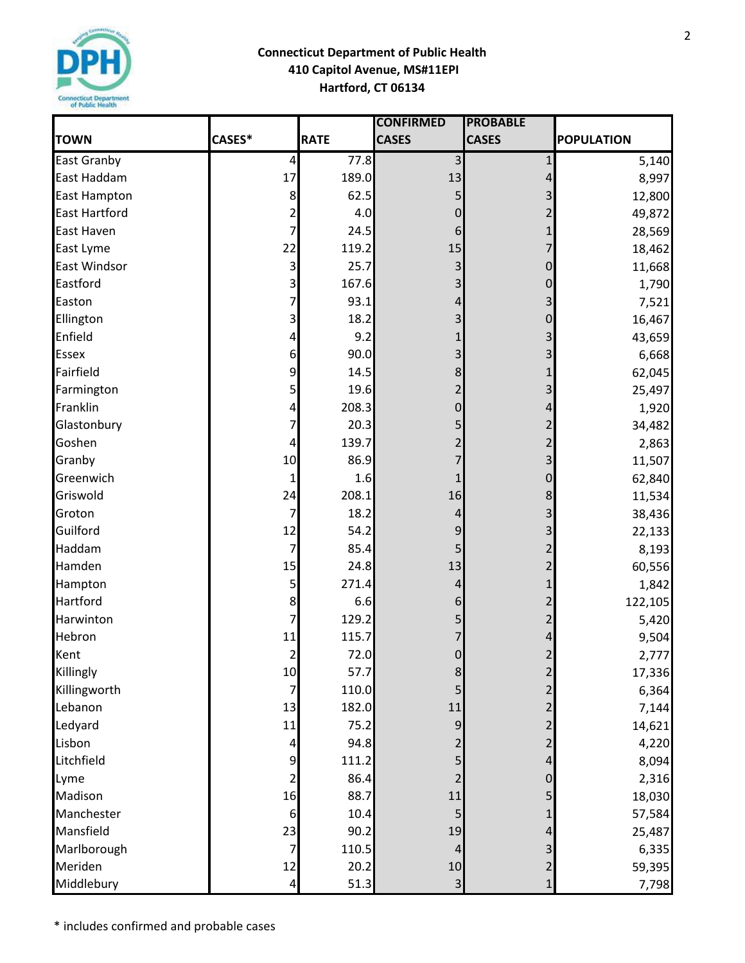

|                      |                |             | <b>CONFIRMED</b> | <b>PROBABLE</b> |                   |
|----------------------|----------------|-------------|------------------|-----------------|-------------------|
| <b>TOWN</b>          | CASES*         | <b>RATE</b> | <b>CASES</b>     | <b>CASES</b>    | <b>POPULATION</b> |
| <b>East Granby</b>   | $\pmb{4}$      | 77.8        | 3                | $\mathbf{1}$    | 5,140             |
| East Haddam          | 17             | 189.0       | 13               | 4               | 8,997             |
| <b>East Hampton</b>  | 8              | 62.5        | 5                |                 | 12,800            |
| <b>East Hartford</b> | 2              | 4.0         | $\overline{0}$   |                 | 49,872            |
| East Haven           | 7              | 24.5        | 6                |                 | 28,569            |
| East Lyme            | 22             | 119.2       | 15               |                 | 18,462            |
| <b>East Windsor</b>  | 3              | 25.7        | 3                | 0               | 11,668            |
| Eastford             | 3              | 167.6       | 3                | 0               | 1,790             |
| Easton               | 7              | 93.1        | 4                |                 | 7,521             |
| Ellington            | 3              | 18.2        | 3                | 0               | 16,467            |
| Enfield              | 4              | 9.2         |                  |                 | 43,659            |
| <b>Essex</b>         | 6              | 90.0        | 3                |                 | 6,668             |
| Fairfield            | 9              | 14.5        | 8                |                 | 62,045            |
| Farmington           | 5              | 19.6        | 2                |                 | 25,497            |
| Franklin             | 4              | 208.3       | $\overline{0}$   |                 | 1,920             |
| Glastonbury          | 7              | 20.3        | 5                |                 | 34,482            |
| Goshen               | 4              | 139.7       | 2                |                 | 2,863             |
| Granby               | 10             | 86.9        | 7                | 3               | 11,507            |
| Greenwich            | 1              | 1.6         |                  | 0               | 62,840            |
| Griswold             | 24             | 208.1       | 16               | 8               | 11,534            |
| Groton               | 7              | 18.2        | 4                |                 | 38,436            |
| Guilford             | 12             | 54.2        | 9                | 3               | 22,133            |
| Haddam               | 7              | 85.4        | 5                |                 | 8,193             |
| Hamden               | 15             | 24.8        | 13               |                 | 60,556            |
| Hampton              | 5              | 271.4       | 4                |                 | 1,842             |
| Hartford             | 8              | 6.6         | 6                |                 | 122,105           |
| Harwinton            | 7              | 129.2       |                  |                 | 5,420             |
| Hebron               | 11             | 115.7       |                  |                 | 9,504             |
| Kent                 | $\overline{2}$ | 72.0        | $\Omega$         | $\overline{2}$  | 2,777             |
| Killingly            | 10             | 57.7        | 8                | 2               | 17,336            |
| Killingworth         | 7              | 110.0       |                  |                 | 6,364             |
| Lebanon              | 13             | 182.0       | $11\,$           |                 | 7,144             |
| Ledyard              | 11             | 75.2        | 9                |                 | 14,621            |
| Lisbon               | 4              | 94.8        | 2                |                 | 4,220             |
| Litchfield           | 9              | 111.2       | 5                |                 | 8,094             |
| Lyme                 | 2              | 86.4        | 2                | 0               | 2,316             |
| Madison              | 16             | 88.7        | $11\,$           |                 | 18,030            |
| Manchester           | 6              | 10.4        |                  |                 | 57,584            |
| Mansfield            | 23             | 90.2        | 19               |                 | 25,487            |
| Marlborough          | 7              | 110.5       | 4                |                 | 6,335             |
| Meriden              | 12             | 20.2        | 10               |                 | 59,395            |
| Middlebury           | 4              | 51.3        | $\overline{3}$   | 1               | 7,798             |

2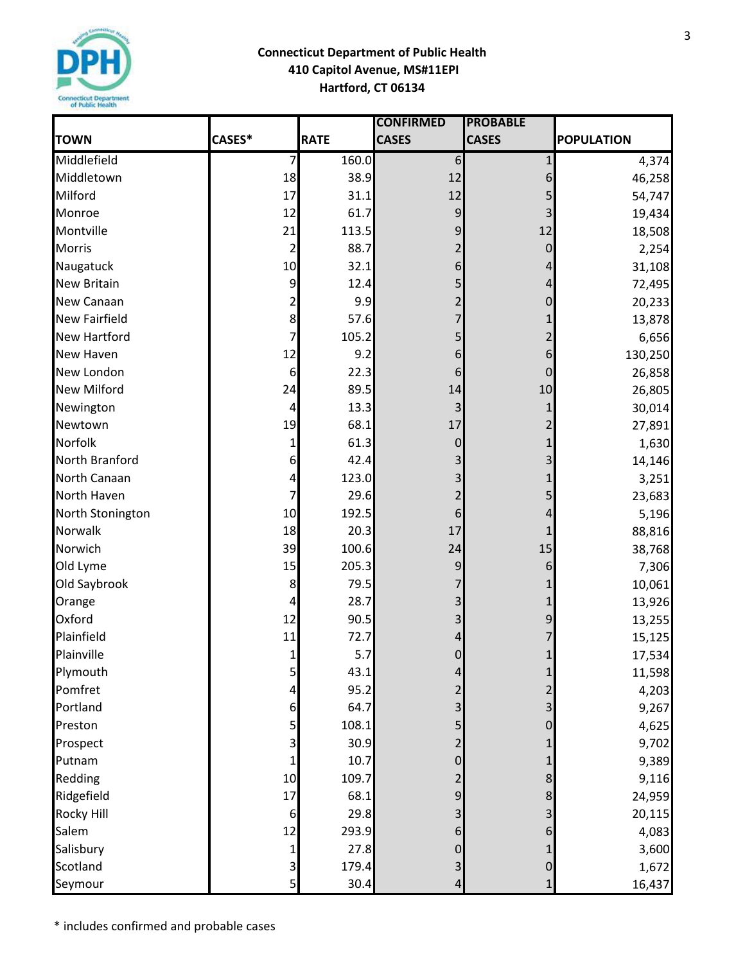

|                      |                  |             | <b>CONFIRMED</b> | <b>PROBABLE</b> |                   |
|----------------------|------------------|-------------|------------------|-----------------|-------------------|
| <b>TOWN</b>          | CASES*           | <b>RATE</b> | <b>CASES</b>     | <b>CASES</b>    | <b>POPULATION</b> |
| Middlefield          | 7                | 160.0       | 6                | $\mathbf{1}$    | 4,374             |
| Middletown           | 18               | 38.9        | 12               | 6               | 46,258            |
| Milford              | 17               | 31.1        | 12               |                 | 54,747            |
| Monroe               | 12               | 61.7        | 9                |                 | 19,434            |
| Montville            | 21               | 113.5       | 9                | 12              | 18,508            |
| <b>Morris</b>        | 2                | 88.7        | $\overline{2}$   | 0               | 2,254             |
| Naugatuck            | 10               | 32.1        | 6                | 4               | 31,108            |
| <b>New Britain</b>   | 9                | 12.4        |                  |                 | 72,495            |
| New Canaan           | 2                | 9.9         | 2                | 0               | 20,233            |
| <b>New Fairfield</b> | 8                | 57.6        | 7                |                 | 13,878            |
| <b>New Hartford</b>  | 7                | 105.2       | 5                |                 | 6,656             |
| <b>New Haven</b>     | 12               | 9.2         | 6                | 6               | 130,250           |
| <b>New London</b>    | $\boldsymbol{6}$ | 22.3        | 6                | 0               | 26,858            |
| <b>New Milford</b>   | 24               | 89.5        | 14               | 10              | 26,805            |
| Newington            | 4                | 13.3        | 3                |                 | 30,014            |
| Newtown              | 19               | 68.1        | 17               |                 | 27,891            |
| Norfolk              | 1                | 61.3        | 0                |                 | 1,630             |
| North Branford       | 6                | 42.4        | 3                |                 | 14,146            |
| North Canaan         | 4                | 123.0       | 3                |                 | 3,251             |
| North Haven          | 7                | 29.6        | 2                |                 | 23,683            |
| North Stonington     | 10               | 192.5       | 6                |                 | 5,196             |
| Norwalk              | 18               | 20.3        | 17               |                 | 88,816            |
| Norwich              | 39               | 100.6       | 24               | 15              | 38,768            |
| Old Lyme             | 15               | 205.3       | 9                | 6               | 7,306             |
| Old Saybrook         | 8                | 79.5        |                  |                 | 10,061            |
| Orange               | 4                | 28.7        |                  |                 | 13,926            |
| Oxford               | 12               | 90.5        |                  | 9               | 13,255            |
| Plainfield           | 11               | 72.7        |                  |                 | 15,125            |
| Plainville           | 1                | 5.7         | $\Omega$         | $\mathbf{1}$    | 17,534            |
| Plymouth             | 5                | 43.1        | 4                |                 | 11,598            |
| Pomfret              | 4                | 95.2        | 2                |                 | 4,203             |
| Portland             | 6                | 64.7        | 3                |                 | 9,267             |
| Preston              | 5                | 108.1       |                  |                 | 4,625             |
| Prospect             | 3                | 30.9        | 2                |                 | 9,702             |
| Putnam               |                  | 10.7        | $\pmb{0}$        |                 | 9,389             |
| Redding              | 10               | 109.7       | 2                | 8               | 9,116             |
| Ridgefield           | 17               | 68.1        | $\overline{9}$   |                 | 24,959            |
| <b>Rocky Hill</b>    | 6                | 29.8        |                  |                 | 20,115            |
| Salem                | 12               | 293.9       | 6                |                 | 4,083             |
| Salisbury            | 1                | 27.8        | $\overline{0}$   |                 | 3,600             |
| Scotland             | 3                | 179.4       | 3                | 0               | 1,672             |
| Seymour              | 5                | 30.4        | 4                | $\mathbf{1}$    | 16,437            |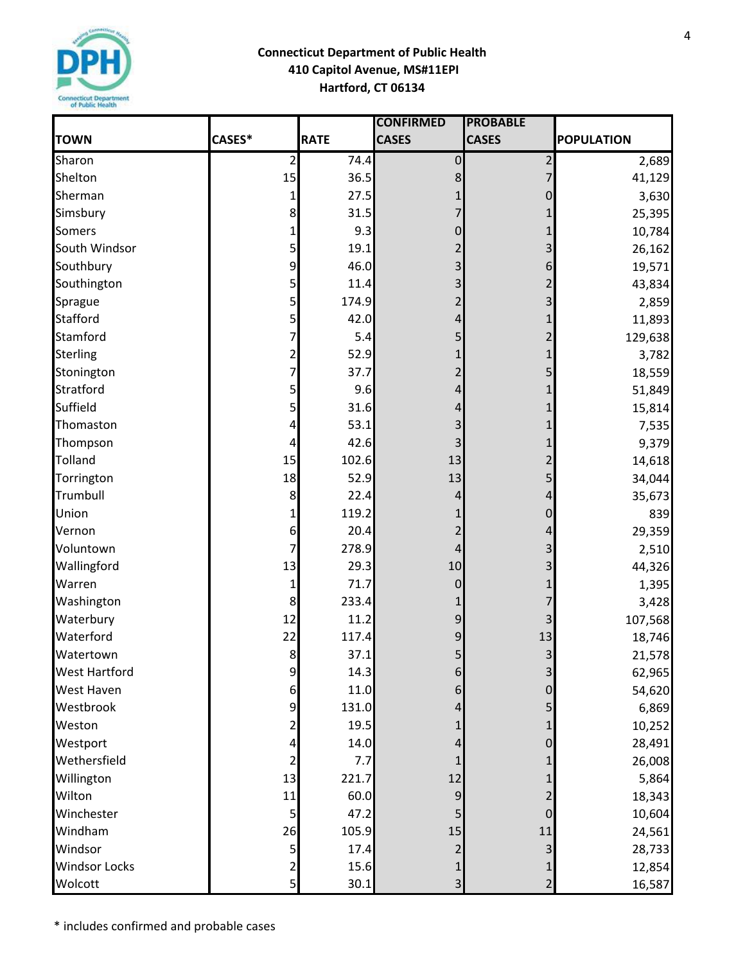

|                      |                |             | <b>CONFIRMED</b> | <b>PROBABLE</b>         |                   |
|----------------------|----------------|-------------|------------------|-------------------------|-------------------|
| <b>TOWN</b>          | CASES*         | <b>RATE</b> | <b>CASES</b>     | <b>CASES</b>            | <b>POPULATION</b> |
| Sharon               | $\overline{c}$ | 74.4        | $\pmb{0}$        | $\overline{2}$          | 2,689             |
| Shelton              | 15             | 36.5        | 8                |                         | 41,129            |
| Sherman              | 1              | 27.5        |                  | 0                       | 3,630             |
| Simsbury             | 8              | 31.5        | 7                |                         | 25,395            |
| <b>Somers</b>        | 1              | 9.3         | 0                |                         | 10,784            |
| South Windsor        | 5              | 19.1        | 2                | 3                       | 26,162            |
| Southbury            | 9              | 46.0        | 3                | 6                       | 19,571            |
| Southington          | $\overline{5}$ | 11.4        | 3                |                         | 43,834            |
| Sprague              | 5              | 174.9       | 2                | 3                       | 2,859             |
| <b>Stafford</b>      | 5              | 42.0        | 4                |                         | 11,893            |
| Stamford             | 7              | 5.4         | 5                | 2                       | 129,638           |
| <b>Sterling</b>      | $\overline{2}$ | 52.9        |                  |                         | 3,782             |
| Stonington           | 7              | 37.7        | 2                | 5                       | 18,559            |
| Stratford            | 5              | 9.6         | 4                |                         | 51,849            |
| Suffield             | 5              | 31.6        | 4                |                         | 15,814            |
| Thomaston            | 4              | 53.1        | 3                |                         | 7,535             |
| Thompson             | 4              | 42.6        |                  |                         | 9,379             |
| <b>Tolland</b>       | 15             | 102.6       | 13               | 2                       | 14,618            |
| Torrington           | 18             | 52.9        | 13               |                         | 34,044            |
| Trumbull             | 8              | 22.4        | 4                | 4                       | 35,673            |
| Union                |                | 119.2       |                  | 0                       | 839               |
| Vernon               | 6              | 20.4        |                  | 4                       | 29,359            |
| Voluntown            | 7              | 278.9       | 4                | 3                       | 2,510             |
| Wallingford          | 13             | 29.3        | 10               |                         | 44,326            |
| Warren               | 1              | 71.7        | 0                |                         | 1,395             |
| Washington           | 8              | 233.4       |                  |                         | 3,428             |
| Waterbury            | 12             | 11.2        | 9                |                         | 107,568           |
| Waterford            | 22             | 117.4       | 9                | 13                      | 18,746            |
| Watertown            | 8 <sup>1</sup> | 37.1        | 5 <sup>1</sup>   | $\overline{3}$          | 21,578            |
| <b>West Hartford</b> | 9              | 14.3        | 6                | 3                       | 62,965            |
| <b>West Haven</b>    | 6              | 11.0        | 6                |                         | 54,620            |
| Westbrook            | 9              | 131.0       | 4                |                         | 6,869             |
| Weston               | 2              | 19.5        |                  |                         | 10,252            |
| Westport             | 4              | 14.0        |                  |                         | 28,491            |
| Wethersfield         |                | 7.7         |                  |                         | 26,008            |
| Willington           | 13             | 221.7       | 12               |                         | 5,864             |
| Wilton               | 11             | 60.0        | 9                |                         | 18,343            |
| Winchester           | 5              | 47.2        |                  |                         | 10,604            |
| Windham              | 26             | 105.9       | 15               | 11                      | 24,561            |
| Windsor              | 5              | 17.4        |                  |                         | 28,733            |
| <b>Windsor Locks</b> | $\overline{c}$ | 15.6        |                  |                         | 12,854            |
| Wolcott              | 5              | 30.1        | 3                | $\overline{\mathbf{c}}$ | 16,587            |

4